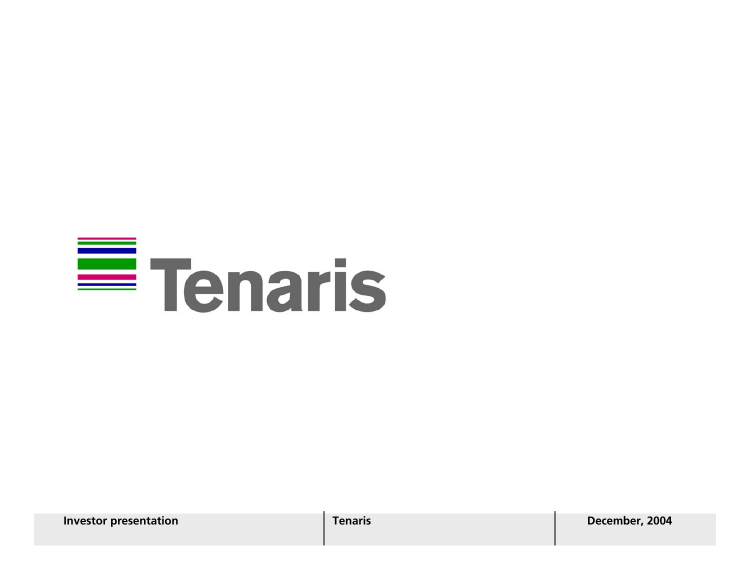# $\equiv$  Tenaris

**Investor presentation Tenaris Tenaris December, 2004**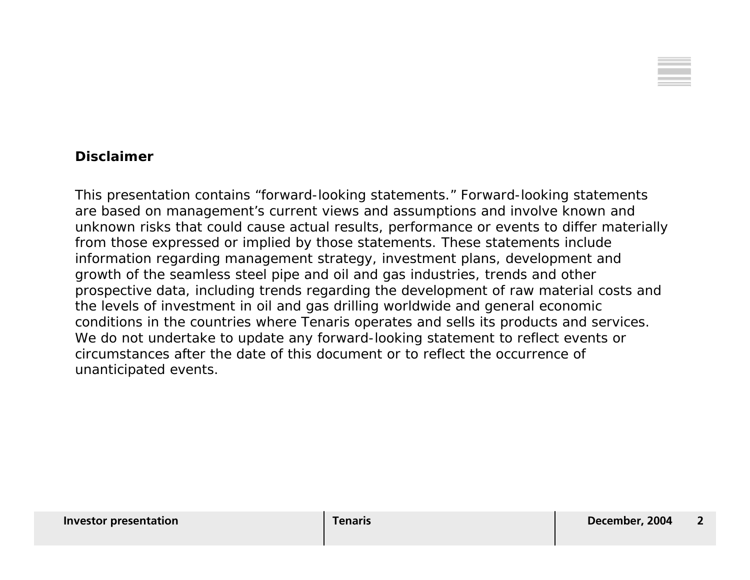

### **Disclaimer**

This presentation contains "forward-looking statements." Forward-looking statements are based on management's current views and assumptions and involve known and unknown risks that could cause actual results, performance or events to differ materially from those expressed or implied by those statements. These statements include information regarding management strategy, investment plans, development and growth of the seamless steel pipe and oil and gas industries, trends and other prospective data, including trends regarding the development of raw material costs and the levels of investment in oil and gas drilling worldwide and general economic conditions in the countries where Tenaris operates and sells its products and services. We do not undertake to update any forward-looking statement to reflect events or circumstances after the date of this document or to reflect the occurrence ofunanticipated events.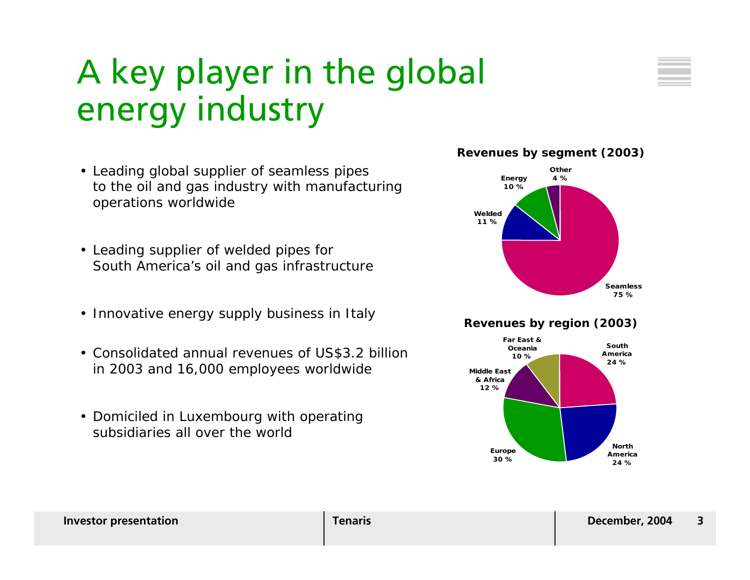### A key player in the global energy industry

- Leading global supplier of seamless pipes to the oil and gas industry with manufacturing operations worldwide
- Leading supplier of welded pipes for South America's oil and gas infrastructure
- Innovative energy supply business in Italy
- Consolidated annual revenues of US\$3.2 billion in 2003 and 16,000 employees worldwide
- Domiciled in Luxembourg with operating subsidiaries all over the world



#### **Revenues by region (2003)**

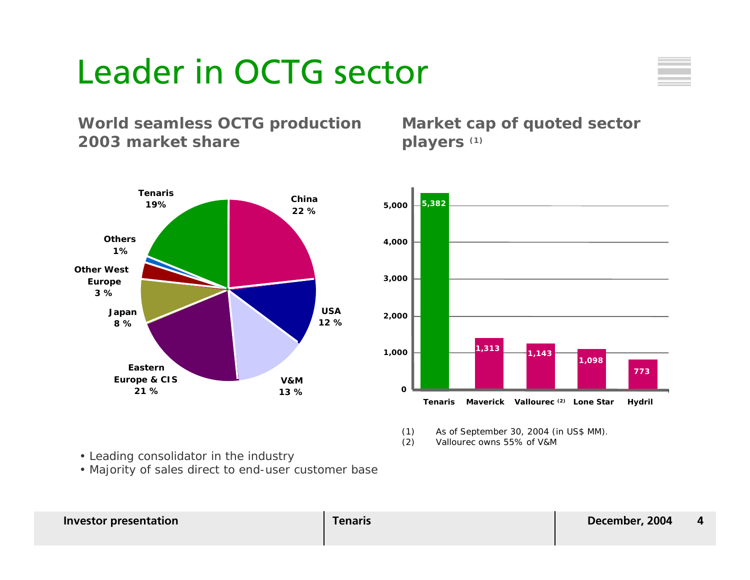### Leader in OCTG sector



### **World seamless OCTG production 2003 market share**

**China22 %USA12 %V&M13 %Eastern Europe & CIS 21 %Japan 8 %Other West Europe 3 %Others1%Tenaris19%**

**Market cap of quoted sector players (1)**



(1) As of September 30, 2004 (in US\$ MM).

(2) Vallourec owns 55% of V&M

- Leading consolidator in the industry
- Majority of sales direct to end-user customer base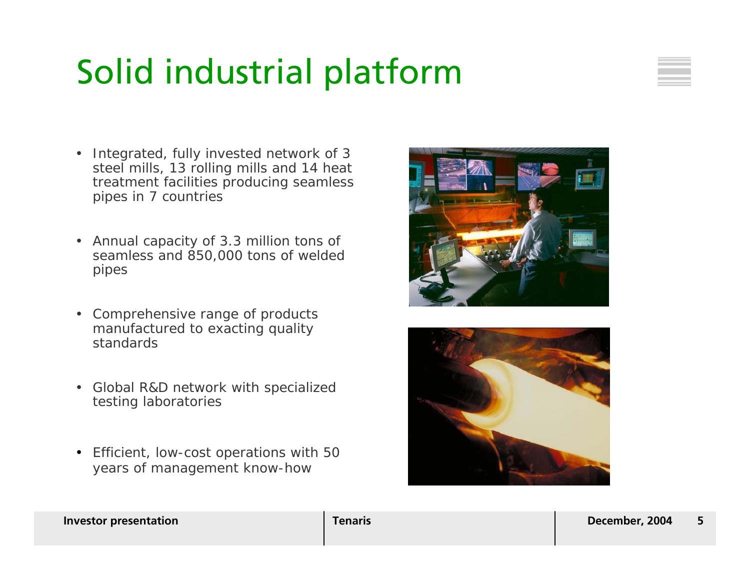### Solid industrial platform



- Integrated, fully invested network of 3 steel mills, 13 rolling mills and 14 heat treatment facilities producing seamless pipes in 7 countries
- Annual capacity of 3.3 million tons of seamless and 850,000 tons of welded pipes
- Comprehensive range of products manufactured to exacting quality standards
- Global R&D network with specialized testing laboratories
- Efficient, low-cost operations with 50 years of management know-how



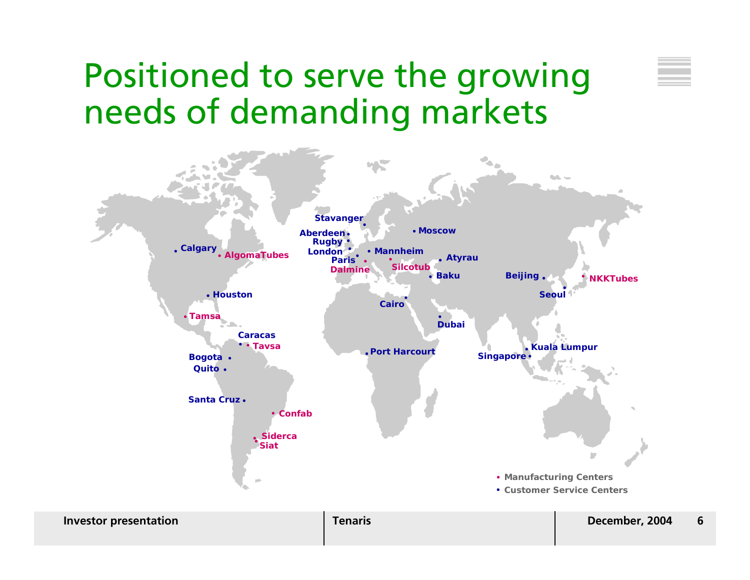### Positioned to serve the growing needs of demanding markets

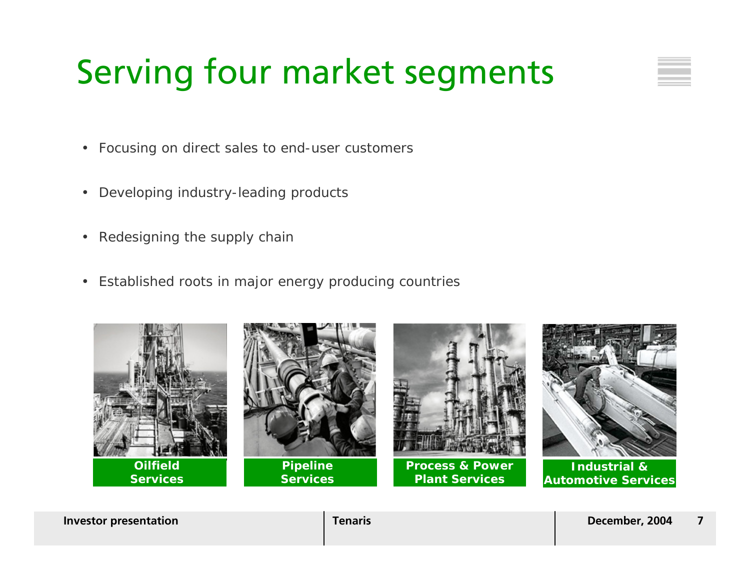## Serving four market segments

- Focusing on direct sales to end-user customers
- $\bullet$ Developing industry-leading products
- •Redesigning the supply chain
- Established roots in major energy producing countries

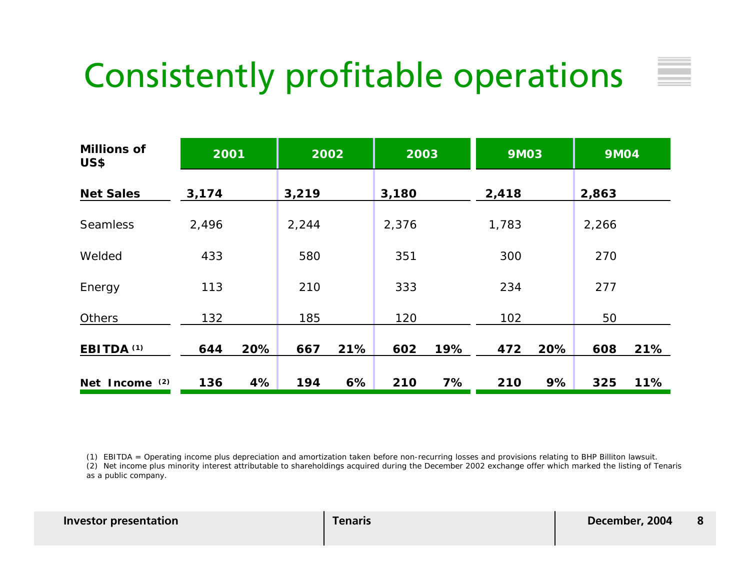### Consistently profitable operations

| <b>Millions of</b><br><b>US\$</b> | 2001  |     | 2002  |     | 2003  |     | <b>9M03</b> |     | <b>9M04</b> |     |
|-----------------------------------|-------|-----|-------|-----|-------|-----|-------------|-----|-------------|-----|
| <b>Net Sales</b>                  | 3,174 |     | 3,219 |     | 3,180 |     | 2,418       |     | 2,863       |     |
| <b>Seamless</b>                   | 2,496 |     | 2,244 |     | 2,376 |     | 1,783       |     | 2,266       |     |
| Welded                            | 433   |     | 580   |     | 351   |     | 300         |     | 270         |     |
| Energy                            | 113   |     | 210   |     | 333   |     | 234         |     | 277         |     |
| <b>Others</b>                     | 132   |     | 185   |     | 120   |     | 102         |     | 50          |     |
| EBITDA <sup>(1)</sup>             | 644   | 20% | 667   | 21% | 602   | 19% | 472         | 20% | 608         | 21% |
| Net Income (2)                    | 136   | 4%  | 194   | 6%  | 210   | 7%  | 210         | 9%  | 325         | 11% |

(1) EBITDA = Operating income plus depreciation and amortization taken before non-recurring losses and provisions relating to BHP Billiton lawsuit.

(2) Net income plus minority interest attributable to shareholdings acquired during the December 2002 exchange offer which marked the listing of Tenaris as a public company.

| <b>Investor presentation</b> |
|------------------------------|
|                              |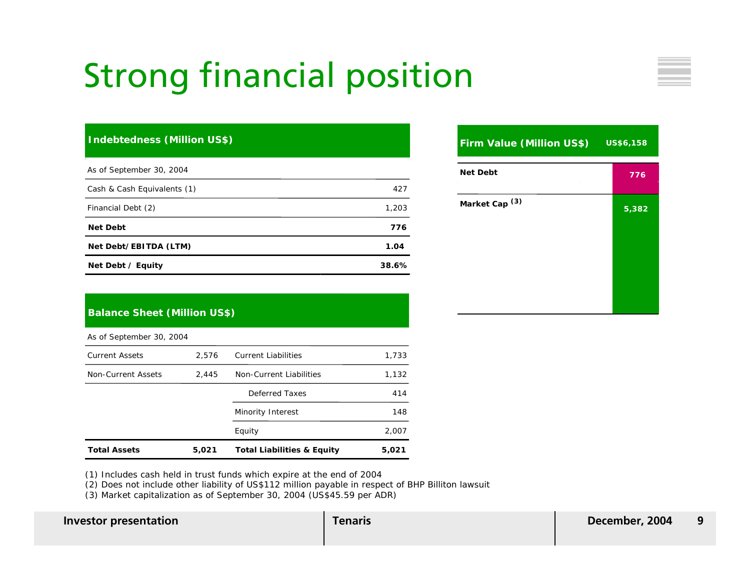### Strong financial position

#### **Indebtedness (Million US\$)**

| As of September 30, 2004            |       |
|-------------------------------------|-------|
| Cash & Cash Equivalents (1)         | 427   |
| Financial Debt (2)                  | 1,203 |
| <b>Net Debt</b>                     | 776   |
| Net Debt/EBITDA (LTM)               | 1.04  |
| Net Debt $\overline{\prime}$ Equity | 38.6% |

| <b>Firm Value (Million US\$)</b> | US\$6,158 |
|----------------------------------|-----------|
| <b>Net Debt</b>                  | 776       |
| Market Cap <sup>(3)</sup>        | 5,382     |

#### **Balance Sheet (Million US\$)**

As of September 30, 2004

| <b>Total Assets</b>   | 5,021 | <b>Total Liabilities &amp; Equity</b> | 5,021 |
|-----------------------|-------|---------------------------------------|-------|
|                       |       | Equity                                | 2,007 |
|                       |       | Minority Interest                     | 148   |
|                       |       | Deferred Taxes                        | 414   |
| Non-Current Assets    | 2.445 | Non-Current Liabilities               | 1,132 |
| <b>Current Assets</b> | 2,576 | <b>Current Liabilities</b>            | 1,733 |

(1) Includes cash held in trust funds which expire at the end of 2004

(2) Does not include other liability of US\$112 million payable in respect of BHP Billiton lawsuit

(3) Market capitalization as of September 30, 2004 (US\$45.59 per ADR)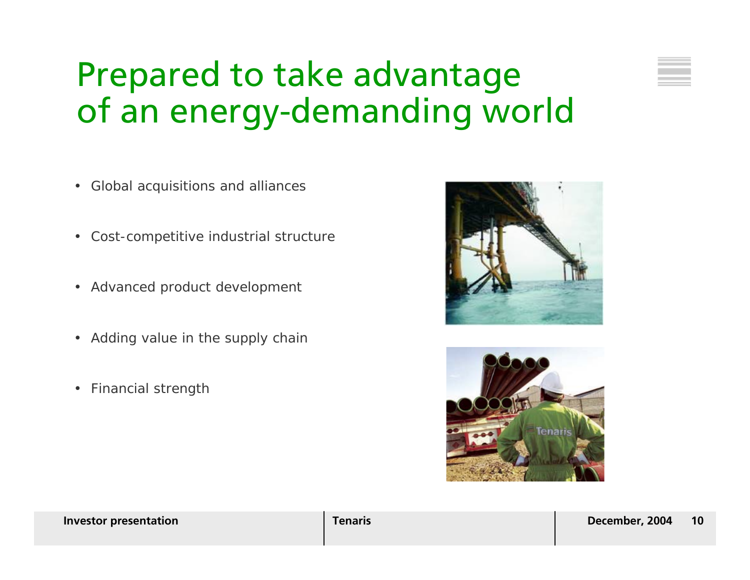### Prepared to take advantage of an energy-demanding world

- Global acquisitions and alliances
- •Cost-competitive industrial structure
- Advanced product development
- Adding value in the supply chain
- •Financial strength



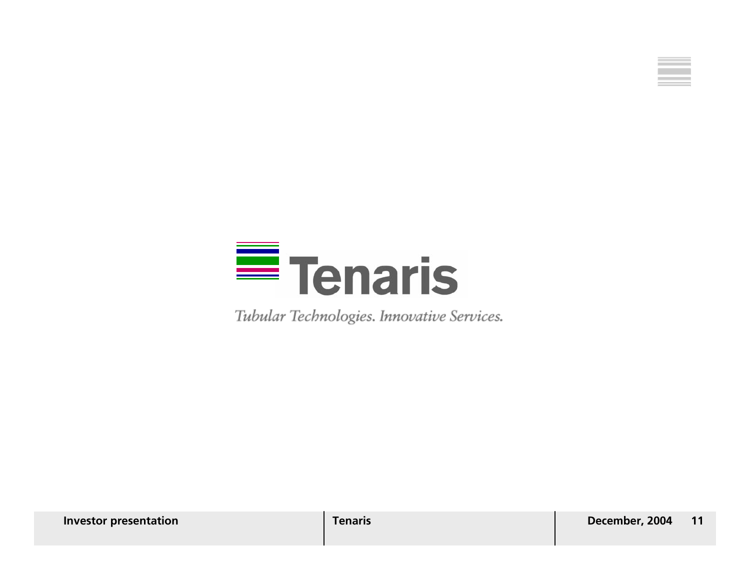



Tubular Technologies. Innovative Services.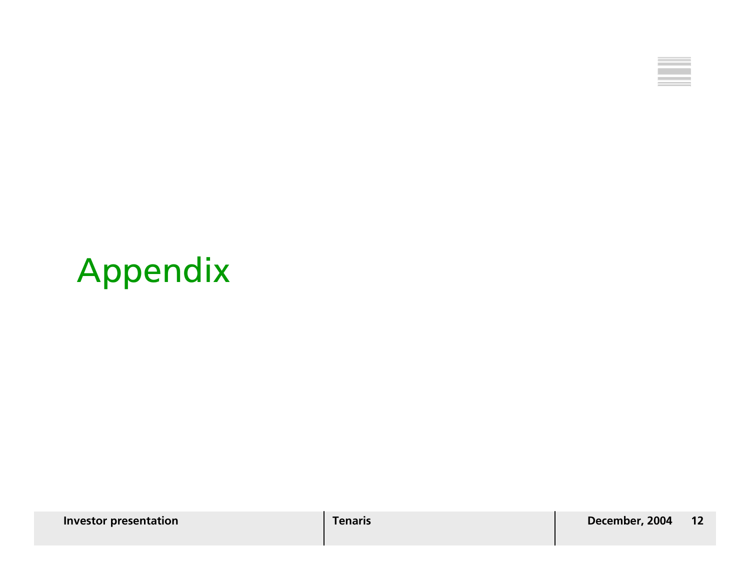

## Appendix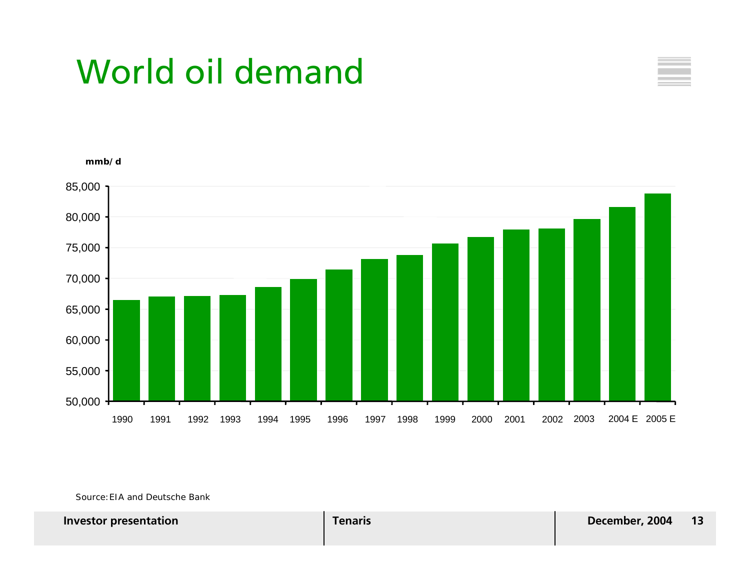### World oil demand





Source:EIA and Deutsche Bank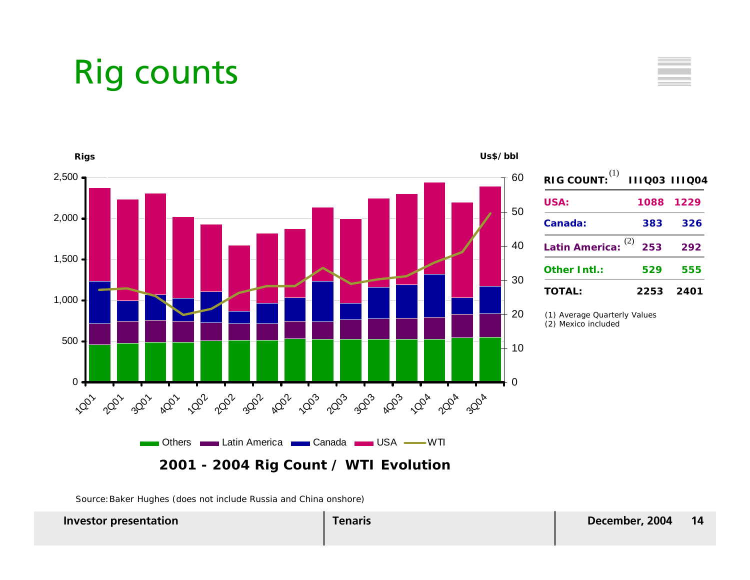### Rig counts



Source:Baker Hughes (does not include Russia and China onshore)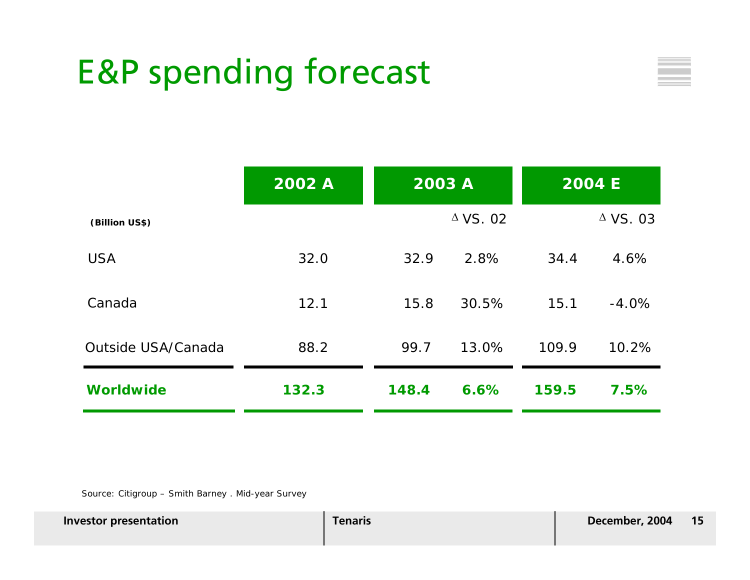### E&P spending forecast



|                    | 2002 A | 2003 A |                 |       | <b>2004 E</b>      |
|--------------------|--------|--------|-----------------|-------|--------------------|
| (Billion US\$)     |        |        | $\Delta$ VS. 02 |       | $\triangle$ VS. 03 |
| <b>USA</b>         | 32.0   | 32.9   | 2.8%            | 34.4  | 4.6%               |
| Canada             | 12.1   | 15.8   | 30.5%           | 15.1  | $-4.0%$            |
| Outside USA/Canada | 88.2   | 99.7   | 13.0%           | 109.9 | 10.2%              |
| <b>Worldwide</b>   | 132.3  | 148.4  | 6.6%            | 159.5 | 7.5%               |

Source: Citigroup – Smith Barney . Mid-year Survey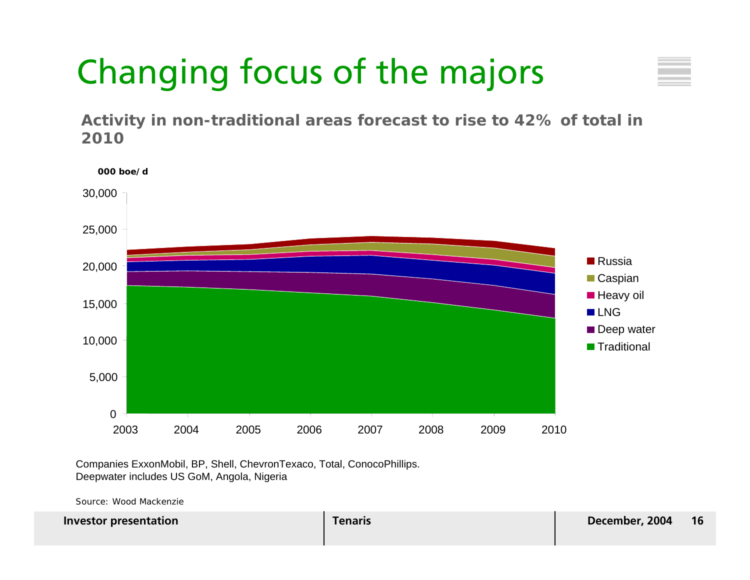# Changing focus of the majors

**Activity in non-traditional areas forecast to rise to 42% of total in 2010**



Companies ExxonMobil, BP, Shell, ChevronTexaco, Total, ConocoPhillips. Deepwater includes US GoM, Angola, Nigeria

Source: Wood Mackenzie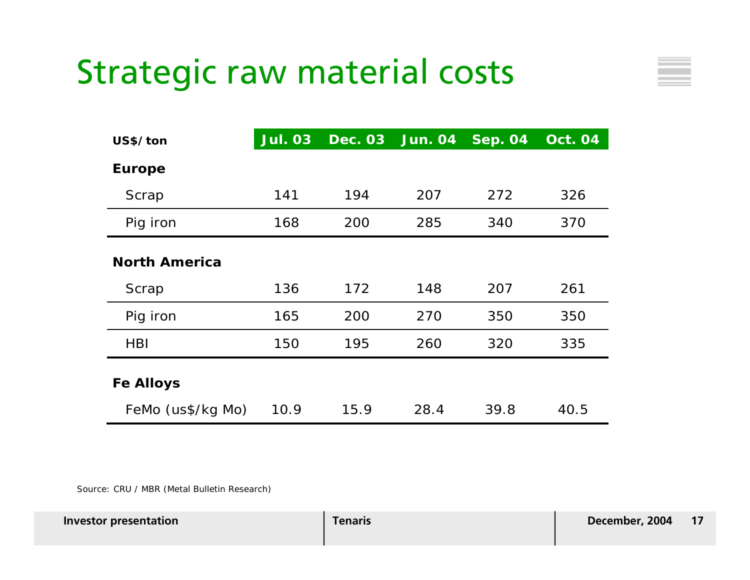### Strategic raw material costs

| US\$/ton             | <b>Jul. 03</b> | <b>Dec. 03</b> | <b>Jun. 04</b> | <b>Sep. 04</b> | <b>Oct. 04</b> |
|----------------------|----------------|----------------|----------------|----------------|----------------|
| <b>Europe</b>        |                |                |                |                |                |
| Scrap                | 141            | 194            | 207            | 272            | 326            |
| Pig iron             | 168            | 200            | 285            | 340            | 370            |
| <b>North America</b> |                |                |                |                |                |
| Scrap                | 136            | 172            | 148            | 207            | 261            |
| Pig iron             | 165            | 200            | 270            | 350            | 350            |
| <b>HBI</b>           | 150            | 195            | 260            | 320            | 335            |
| <b>Fe Alloys</b>     |                |                |                |                |                |
| FeMo (us\$/kg Mo)    | 10.9           | 15.9           | 28.4           | 39.8           | 40.5           |

Source: CRU / MBR (Metal Bulletin Research)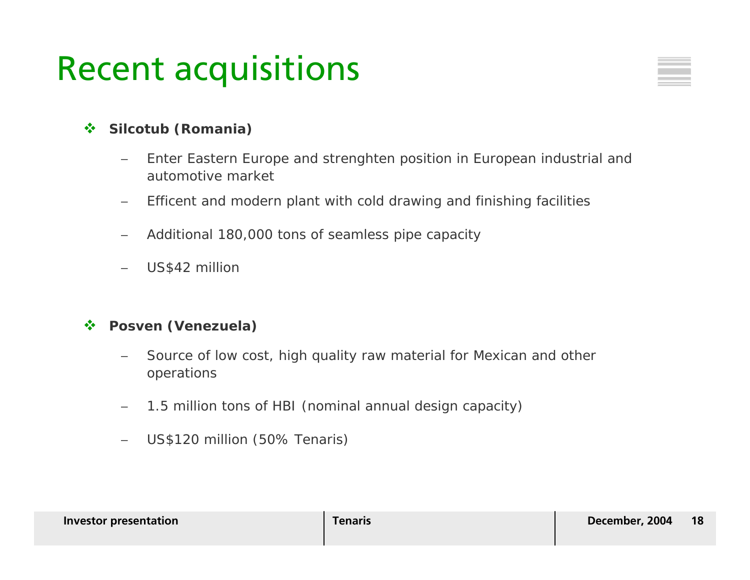### Recent acquisitions

#### $\frac{1}{2}$ **Silcotub (Romania)**

- − Enter Eastern Europe and strenghten position in European industrial and automotive market
- −Efficent and modern plant with cold drawing and finishing facilities
- −Additional 180,000 tons of seamless pipe capacity
- US\$42 million

#### $\mathcal{L}(\mathbf{r})$ **Posven (Venezuela)**

- Source of low cost, high quality raw material for Mexican and other operations
- −1.5 million tons of HBI (nominal annual design capacity)
- −US\$120 million (50% Tenaris)